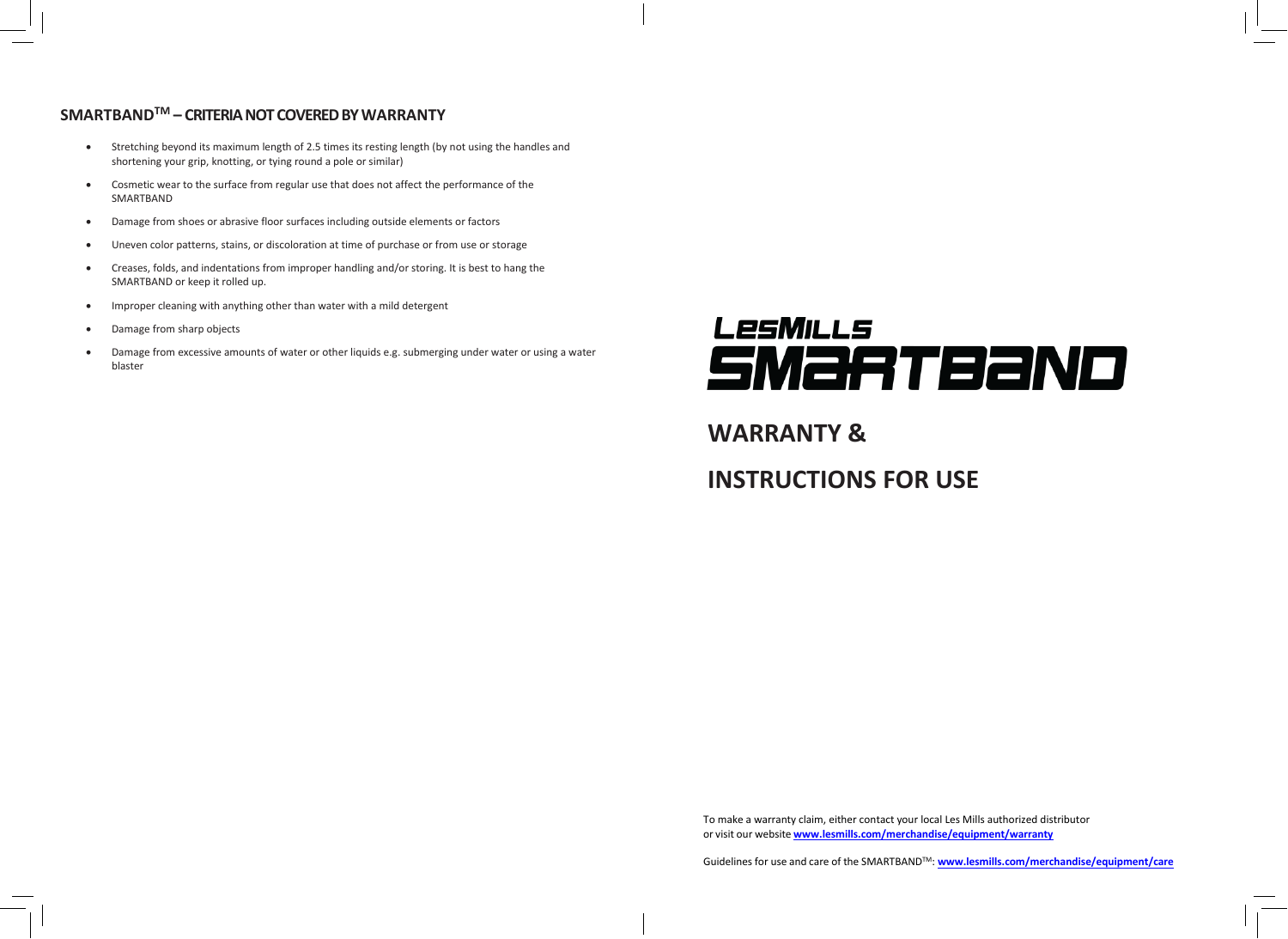## **SMARTBANDTM – CRITERIA NOT COVERED BY WARRANTY**

- Stretching beyond its maximum length of 2.5 times its resting length (by not using the handles and shortening your grip, knotting, or tying round a pole or similar)
- Cosmetic wear to the surface from regular use that does not affect the performance of the SMARTBAND
- Damage from shoes or abrasive floor surfaces including outside elements or factors
- Uneven color patterns, stains, or discoloration at time of purchase or from use or storage
- Creases, folds, and indentations from improper handling and/or storing. It is best to hang the SMARTBAND or keep it rolled up.
- Improper cleaning with anything other than water with a mild detergent
- Damage from sharp objects
- Damage from excessive amounts of water or other liquids e.g. submerging under water or using a water blaster

# **LesMILLS** SMaRTBaND

# **WARRANTY &**

# **INSTRUCTIONS FOR USE**

To make a warranty claim, either contact your local Les Mills authorized distributor or visit our website **[www.lesmills.com/merchandise/equipment/warranty](http://www.lesmills.com/merchandise/equipment/warranty)**

Guidelines for use and care of the SMARTBAND<sup>™</sup>: **[www.lesmills.com/merchandise/equipment/care](http://www.lesmills.com/merchandise/equipment/care)**